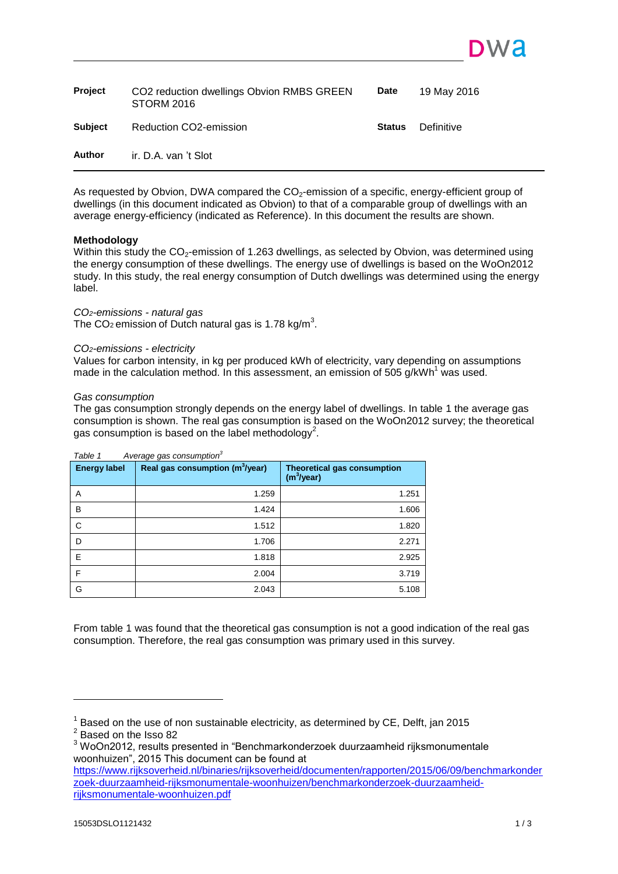| Project        | CO2 reduction dwellings Obvion RMBS GREEN<br><b>STORM 2016</b> | <b>Date</b>   | 19 May 2016 |
|----------------|----------------------------------------------------------------|---------------|-------------|
| <b>Subject</b> | Reduction CO2-emission                                         | <b>Status</b> | Definitive  |
| Author         | ir. D.A. van 't Slot                                           |               |             |

<span id="page-0-0"></span>As requested by Obvion, DWA compared the CO<sub>2</sub>-emission of a specific, energy-efficient group of dwellings (in this document indicated as Obvion) to that of a comparable group of dwellings with an average energy-efficiency (indicated as Reference). In this document the results are shown.

## **Methodology**

Within this study the CO<sub>2</sub>-emission of 1.263 dwellings, as selected by Obvion, was determined using the energy consumption of these dwellings. The energy use of dwellings is based on the WoOn2012 study. In this study, the real energy consumption of Dutch dwellings was determined using the energy label.

## *CO2-emissions - natural gas*

The CO<sub>2</sub> emission of Dutch natural gas is 1.78 kg/m<sup>3</sup>.

### *CO2-emissions - electricity*

Values for carbon intensity, in kg per produced kWh of electricity, vary depending on assumptions made in the calculation method. In this assessment, an emission of 505  $q/kWh<sup>1</sup>$  was used.

### *Gas consumption*

The gas consumption strongly depends on the energy label of dwellings. In table 1 the average gas consumption is shown. The real gas consumption is based on the WoOn2012 survey; the theoretical gas consumption is based on the label methodology<sup>2</sup>.

| <b>Energy label</b> | Real gas consumption (m <sup>3</sup> /year) | <b>Theoretical gas consumption</b><br>$(m^3$ /year) |
|---------------------|---------------------------------------------|-----------------------------------------------------|
| A                   | 1.259                                       | 1.251                                               |
| B                   | 1.424                                       | 1.606                                               |
| C                   | 1.512                                       | 1.820                                               |
| D                   | 1.706                                       | 2.271                                               |
| E                   | 1.818                                       | 2.925                                               |
| F                   | 2.004                                       | 3.719                                               |
| G                   | 2.043                                       | 5.108                                               |

# *Table 1 Average gas consumption<sup>3</sup>*

From table 1 was found that the theoretical gas consumption is not a good indication of the real gas consumption. Therefore, the real gas consumption was primary used in this survey.

l

DW 2

 $^1$  Based on the use of non sustainable electricity, as determined by CE, Delft, jan 2015

<sup>&</sup>lt;sup>2</sup> Based on the Isso 82

<sup>3</sup> WoOn2012, results presented in "Benchmarkonderzoek duurzaamheid rijksmonumentale woonhuizen", 2015 This document can be found at

[https://www.rijksoverheid.nl/binaries/rijksoverheid/documenten/rapporten/2015/06/09/benchmarkonder](https://www.rijksoverheid.nl/binaries/rijksoverheid/documenten/rapporten/2015/06/09/benchmarkonderzoek-duurzaamheid-rijksmonumentale-woonhuizen/benchmarkonderzoek-duurzaamheid-rijksmonumentale-woonhuizen.pdf) [zoek-duurzaamheid-rijksmonumentale-woonhuizen/benchmarkonderzoek-duurzaamheid](https://www.rijksoverheid.nl/binaries/rijksoverheid/documenten/rapporten/2015/06/09/benchmarkonderzoek-duurzaamheid-rijksmonumentale-woonhuizen/benchmarkonderzoek-duurzaamheid-rijksmonumentale-woonhuizen.pdf)[rijksmonumentale-woonhuizen.pdf](https://www.rijksoverheid.nl/binaries/rijksoverheid/documenten/rapporten/2015/06/09/benchmarkonderzoek-duurzaamheid-rijksmonumentale-woonhuizen/benchmarkonderzoek-duurzaamheid-rijksmonumentale-woonhuizen.pdf)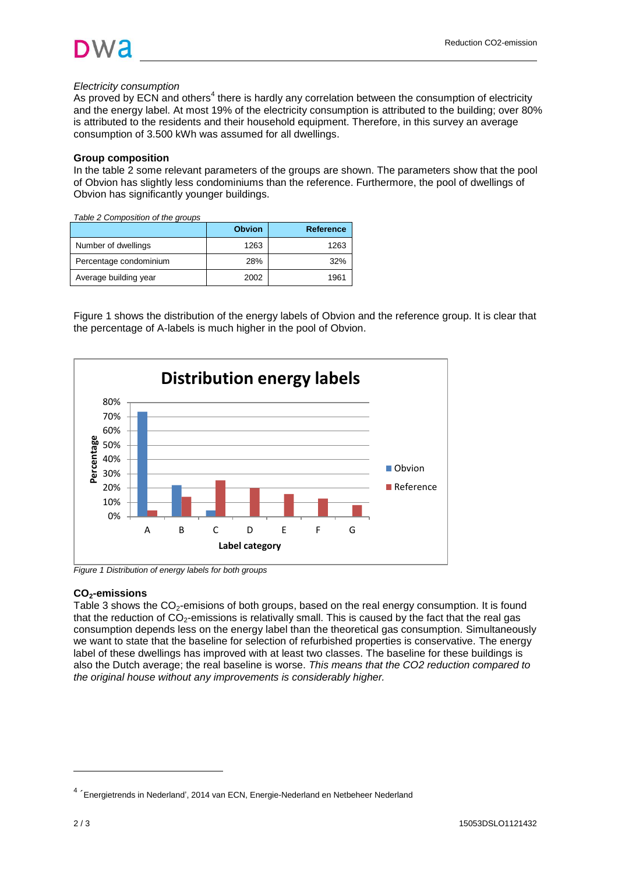

## *Electricity consumption*

As proved by ECN and others<sup>4</sup> there is hardly any correlation between the consumption of electricity and the energy label. At most 19% of the electricity consumption is attributed to the building; over 80% is attributed to the residents and their household equipment. Therefore, in this survey an average consumption of 3.500 kWh was assumed for all dwellings.

## **Group composition**

In the table 2 some relevant parameters of the groups are shown. The parameters show that the pool of Obvion has slightly less condominiums than the reference. Furthermore, the pool of dwellings of Obvion has significantly younger buildings.

*Table 2 Composition of the groups*

|                        | <b>Obvion</b> | <b>Reference</b> |
|------------------------|---------------|------------------|
| Number of dwellings    | 1263          | 1263             |
| Percentage condominium | 28%           | 32%              |
| Average building year  | 2002          | 1961             |

Figure 1 shows the distribution of the energy labels of Obvion and the reference group. It is clear that the percentage of A-labels is much higher in the pool of Obvion.



## **CO2-emissions**

Table 3 shows the  $CO<sub>2</sub>$ -emisions of both groups, based on the real energy consumption. It is found that the reduction of  $CO<sub>2</sub>$ -emissions is relativally small. This is caused by the fact that the real gas consumption depends less on the energy label than the theoretical gas consumption. Simultaneously we want to state that the baseline for selection of refurbished properties is conservative. The energy label of these dwellings has improved with at least two classes. The baseline for these buildings is also the Dutch average; the real baseline is worse. *This means that the CO2 reduction compared to the original house without any improvements is considerably higher.*

l

<sup>&</sup>lt;sup>4</sup> 'Energietrends in Nederland', 2014 van ECN, Energie-Nederland en Netbeheer Nederland